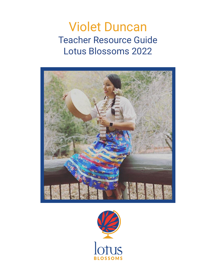# Violet Duncan Teacher Resource Guide Lotus Blossoms 2022



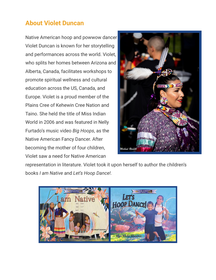## **About Violet Duncan**

Native American hoop and powwow dancer Violet Duncan is known for her storytelling and performances across the world. Violet, who splits her homes between Arizona and Alberta, Canada, facilitates workshops to promote spiritual wellness and cultural education across the US, Canada, and Europe. Violet is a proud member of the Plains Cree of Kehewin Cree Nation and Taino. She held the title of Miss Indian World in 2006 and was featured in Nelly Furtado's music video *Big Hoops*, as the Native American Fancy Dancer. After becoming the mother of four children, Violet saw a need for Native American



representation in literature. Violet took it upon herself to author the children's books *I am Native* and *Let's Hoop Dance!.*

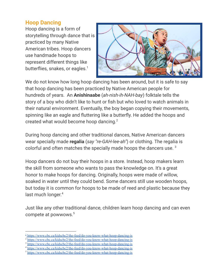#### **Hoop Dancing**

Hoop dancing is a form of storytelling through dance that is practiced by many Native American tribes. Hoop dancers use handmade hoops to represent different things like butterflies, snakes, or eagles. $1$ 



We do not know how long hoop dancing has been around, but it is safe to say that hoop dancing has been practiced by Native American people for hundreds of years. An **Anishinaabe** (*ah-nish-ih-NAH-bay*) folktale tells the story of a boy who didn't like to hunt or fish but who loved to watch animals in their natural environment. Eventually, the boy began copying their movements, spinning like an eagle and fluttering like a butterfly. He added the hoops and created what would become hoop dancing.<sup>2</sup>

During hoop dancing and other traditional dances, Native American dancers wear specially made **regalia** (*say "re-GAH-lee-ah"*) or clothing. The regalia is colorful and often matches the specially made hoops the dancers use. <sup>3</sup>

Hoop dancers do not buy their hoops in a store. Instead, hoop makers learn the skill from someone who wants to pass the knowledge on. It's a great honor to make hoops for dancing. Originally, hoops were made of willow, soaked in water until they could bend. Some dancers still use wooden hoops, but today it is common for hoops to be made of reed and plastic because they last much longer. 4

Just like any other traditional dance, children learn hoop dancing and can even compete at powwows.<sup>5</sup>

<sup>&</sup>lt;sup>1</sup><https://www.cbc.ca/kidscbc2/the-feed/do-you-know-what-hoop-dancing-is>

<sup>2</sup> <https://www.cbc.ca/kidscbc2/the-feed/do-you-know-what-hoop-dancing-is>

<sup>&</sup>lt;sup>3</sup> <https://www.cbc.ca/kidscbc2/the-feed/do-you-know-what-hoop-dancing-is>

<sup>4</sup> <https://www.cbc.ca/kidscbc2/the-feed/do-you-know-what-hoop-dancing-is>

<sup>5</sup> <https://www.cbc.ca/kidscbc2/the-feed/do-you-know-what-hoop-dancing-is>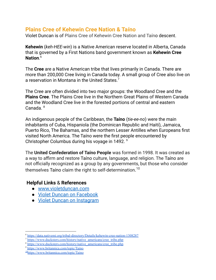### **Plains Cree of Kehewin Cree Nation & Taíno**

Violet Duncan is of Plains Cree of Kehewin Cree Nation and Taíno descent.

**Kehewin** (*keh-HEE-win*) is a Native American reserve located in Alberta, Canada that is governed by a First Nations band government known as **Kehewin Cree Nation**. 6

The **Cree** are a Native American tribe that lives primarily in Canada. There are more than 200,000 Cree living in Canada today. A small group of Cree also live on a reservation in Montana in the United States. $^7$ 

The Cree are often divided into two major groups: the Woodland Cree and the **Plains Cree**. The Plains Cree live in the Northern Great Plains of Western Canada and the Woodland Cree live in the forested portions of central and eastern Canada. 8

An [indigenous](https://en.wikipedia.org/wiki/Indigenous_people_of_the_Caribbean) people of the Caribbean, the **Taíno** (*tie-ee-no*) were the main inhabitants of [Cuba,](https://en.wikipedia.org/wiki/Cuba) [Hispaniola](https://en.wikipedia.org/wiki/Hispaniola) (the [Dominican](https://en.wikipedia.org/wiki/Dominican_Republic) Republic and [Haiti\)](https://en.wikipedia.org/wiki/Haiti), [Jamaica,](https://en.wikipedia.org/wiki/Jamaica) [Puerto](https://en.wikipedia.org/wiki/Puerto_Rico) Rico, The [Bahamas](https://en.wikipedia.org/wiki/The_Bahamas), and the northern Lesser [Antilles](https://en.wikipedia.org/wiki/Lesser_Antilles) when Europeans first visited North America. The Taíno were the first people encountered by [Christopher](https://en.wikipedia.org/wiki/Christopher_Columbus) Columbus during [his](https://en.wikipedia.org/wiki/Voyages_of_Christopher_Columbus#first_voyage) voyage in 1492. 9

The **United Confederation of Taíno People** was formed in 1998. It was created as a way to affirm and restore Taíno culture, language, and religion. The Taíno are not officially recognized as a group by any governments, but those who consider themselves Taíno claim the right to self-determination. $^{10}$ 

#### **Helpful Links** & **References**

- [www.violetduncan.com](https://www.violetduncan.com/)
- Violet Duncan on [Facebook](https://b-m.facebook.com/Violet-Duncan-759846134172158/)
- Violet Duncan on [Instagram](https://www.instagram.com/violetduncan/)

<sup>6</sup> <https://data.nativemi.org/tribal-directory/Details/kehewin-cree-nation-1308287>

<sup>&</sup>lt;sup>7</sup> [https://www.ducksters.com/history/native\\_americans/cree\\_tribe.php](https://www.ducksters.com/history/native_americans/cree_tribe.php)

<sup>&</sup>lt;sup>8</sup> [https://www.ducksters.com/history/native\\_americans/cree\\_tribe.php](https://www.ducksters.com/history/native_americans/cree_tribe.php)

<sup>9</sup> <https://www.britannica.com/topic/Taino>

<sup>10</sup><https://www.britannica.com/topic/Taino>